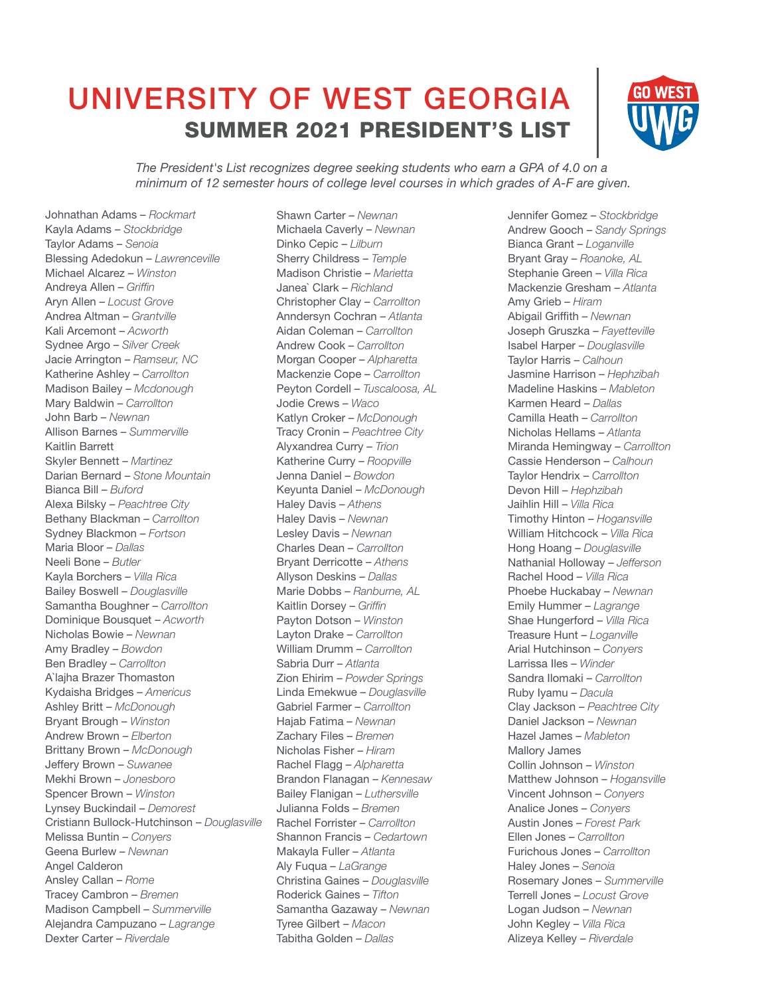## UNIVERSITY OF WEST GEORGIA SUMMER 2021 PRESIDENT'S LIST



*The President's List recognizes degree seeking students who earn a GPA of 4.0 on a minimum of 12 semester hours of college level courses in which grades of A-F are given.*

Johnathan Adams – *Rockmart* Kayla Adams – *Stockbridge* Taylor Adams – *Senoia* Blessing Adedokun – *Lawrenceville* Michael Alcarez – *Winston* Andreya Allen – *Griffin* Aryn Allen – *Locust Grove* Andrea Altman – *Grantville* Kali Arcemont – *Acworth* Sydnee Argo – *Silver Creek* Jacie Arrington – *Ramseur, NC* Katherine Ashley – *Carrollton* Madison Bailey – *Mcdonough* Mary Baldwin – *Carrollton* John Barb – *Newnan* Allison Barnes – *Summerville* Kaitlin Barrett Skyler Bennett – *Martinez* Darian Bernard – *Stone Mountain* Bianca Bill – *Buford* Alexa Bilsky – *Peachtree City* Bethany Blackman – *Carrollton* Sydney Blackmon – *Fortson* Maria Bloor – *Dallas* Neeli Bone – *Butler* Kayla Borchers – *Villa Rica* Bailey Boswell – *Douglasville* Samantha Boughner – *Carrollton* Dominique Bousquet – *Acworth* Nicholas Bowie – *Newnan* Amy Bradley – *Bowdon* Ben Bradley – *Carrollton* A`lajha Brazer Thomaston Kydaisha Bridges – *Americus* Ashley Britt – *McDonough* Bryant Brough – *Winston* Andrew Brown – *Elberton* Brittany Brown – *McDonough* Jeffery Brown – *Suwanee* Mekhi Brown – *Jonesboro* Spencer Brown – *Winston* Lynsey Buckindail – *Demorest* Cristiann Bullock-Hutchinson – *Douglasville* Melissa Buntin – *Conyers* Geena Burlew – *Newnan* Angel Calderon Ansley Callan – *Rome* Tracey Cambron – *Bremen* Madison Campbell – *Summerville* Alejandra Campuzano – *Lagrange* Dexter Carter – *Riverdale*

Shawn Carter – *Newnan* Michaela Caverly – *Newnan* Dinko Cepic – *Lilburn* Sherry Childress – *Temple* Madison Christie – *Marietta* Janea` Clark – *Richland* Christopher Clay – *Carrollton* Anndersyn Cochran – *Atlanta* Aidan Coleman – *Carrollton* Andrew Cook – *Carrollton* Morgan Cooper – *Alpharetta* Mackenzie Cope – *Carrollton* Peyton Cordell – *Tuscaloosa, AL* Jodie Crews – *Waco* Katlyn Croker – *McDonough* Tracy Cronin – *Peachtree City* Alyxandrea Curry – *Trion* Katherine Curry – *Roopville* Jenna Daniel – *Bowdon* Keyunta Daniel – *McDonough* Haley Davis – *Athens* Haley Davis – *Newnan* Lesley Davis – *Newnan* Charles Dean – *Carrollton* Bryant Derricotte – *Athens* Allyson Deskins – *Dallas* Marie Dobbs – *Ranburne, AL* Kaitlin Dorsey – *Griffin* Payton Dotson – *Winston* Layton Drake – *Carrollton* William Drumm – *Carrollton* Sabria Durr – *Atlanta* Zion Ehirim – *Powder Springs* Linda Emekwue – *Douglasville* Gabriel Farmer – *Carrollton* Hajab Fatima – *Newnan* Zachary Files – *Bremen* Nicholas Fisher – *Hiram* Rachel Flagg – *Alpharetta* Brandon Flanagan – *Kennesaw* Bailey Flanigan – *Luthersville* Julianna Folds – *Bremen* Rachel Forrister – *Carrollton* Shannon Francis – *Cedartown* Makayla Fuller – *Atlanta* Aly Fuqua – *LaGrange* Christina Gaines – *Douglasville* Roderick Gaines – *Tifton* Samantha Gazaway – *Newnan* Tyree Gilbert – *Macon* Tabitha Golden – *Dallas*

Jennifer Gomez – *Stockbridge* Andrew Gooch – *Sandy Springs* Bianca Grant – *Loganville* Bryant Gray – *Roanoke, AL* Stephanie Green – *Villa Rica* Mackenzie Gresham – *Atlanta* Amy Grieb – *Hiram* Abigail Griffith – *Newnan* Joseph Gruszka – *Fayetteville* Isabel Harper – *Douglasville* Taylor Harris – *Calhoun* Jasmine Harrison – *Hephzibah* Madeline Haskins – *Mableton* Karmen Heard – *Dallas* Camilla Heath – *Carrollton* Nicholas Hellams – *Atlanta* Miranda Hemingway – *Carrollton* Cassie Henderson – *Calhoun* Taylor Hendrix – *Carrollton* Devon Hill – *Hephzibah* Jaihlin Hill – *Villa Rica* Timothy Hinton – *Hogansville* William Hitchcock – *Villa Rica* Hong Hoang – *Douglasville* Nathanial Holloway – *Jefferson* Rachel Hood – *Villa Rica* Phoebe Huckabay – *Newnan* Emily Hummer – *Lagrange* Shae Hungerford – *Villa Rica* Treasure Hunt – *Loganville* Arial Hutchinson – *Conyers* Larrissa Iles – *Winder* Sandra Ilomaki – *Carrollton* Ruby Iyamu – *Dacula* Clay Jackson – *Peachtree City* Daniel Jackson – *Newnan* Hazel James – *Mableton* Mallory James Collin Johnson – *Winston* Matthew Johnson – *Hogansville* Vincent Johnson – *Conyers* Analice Jones – *Conyers* Austin Jones – *Forest Park* Ellen Jones – *Carrollton* Furichous Jones – *Carrollton* Haley Jones – *Senoia* Rosemary Jones – *Summerville* Terrell Jones – *Locust Grove* Logan Judson – *Newnan* John Kegley – *Villa Rica* Alizeya Kelley – *Riverdale*